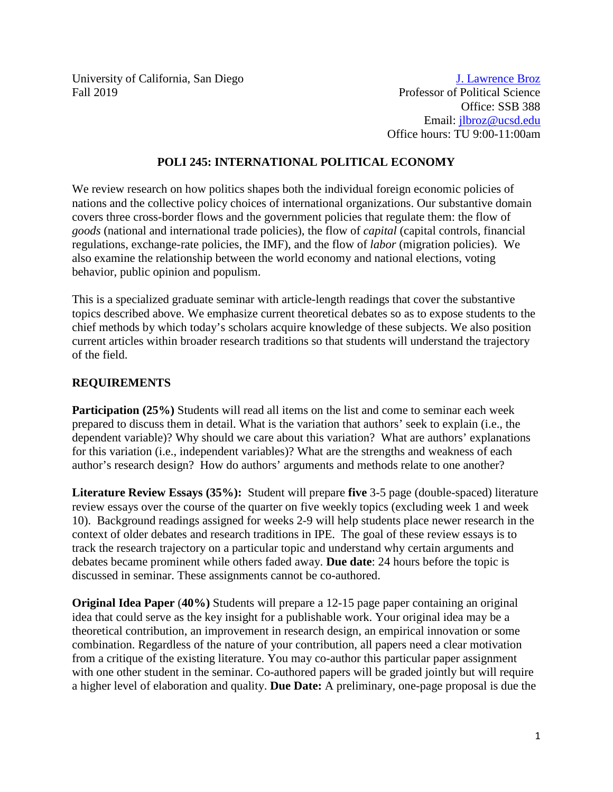University of California, San Diego Fall 2019

[J. Lawrence Broz](http://weber.ucsd.edu/%7Ejlbroz/) Professor of Political Science Office: SSB 388 Email: [jlbroz@ucsd.edu](mailto:jlbroz@ucsd.edu) Office hours: TU 9:00-11:00am

#### **POLI 245: INTERNATIONAL POLITICAL ECONOMY**

We review research on how politics shapes both the individual foreign economic policies of nations and the collective policy choices of international organizations. Our substantive domain covers three cross-border flows and the government policies that regulate them: the flow of *goods* (national and international trade policies), the flow of *capital* (capital controls, financial regulations, exchange-rate policies, the IMF), and the flow of *labor* (migration policies). We also examine the relationship between the world economy and national elections, voting behavior, public opinion and populism.

This is a specialized graduate seminar with article-length readings that cover the substantive topics described above. We emphasize current theoretical debates so as to expose students to the chief methods by which today's scholars acquire knowledge of these subjects. We also position current articles within broader research traditions so that students will understand the trajectory of the field.

## **REQUIREMENTS**

**Participation (25%)** Students will read all items on the list and come to seminar each week prepared to discuss them in detail. What is the variation that authors' seek to explain (i.e., the dependent variable)? Why should we care about this variation? What are authors' explanations for this variation (i.e., independent variables)? What are the strengths and weakness of each author's research design? How do authors' arguments and methods relate to one another?

**Literature Review Essays (35%):** Student will prepare **five** 3-5 page (double-spaced) literature review essays over the course of the quarter on five weekly topics (excluding week 1 and week 10). Background readings assigned for weeks 2-9 will help students place newer research in the context of older debates and research traditions in IPE. The goal of these review essays is to track the research trajectory on a particular topic and understand why certain arguments and debates became prominent while others faded away. **Due date**: 24 hours before the topic is discussed in seminar. These assignments cannot be co-authored.

**Original Idea Paper** (**40%)** Students will prepare a 12-15 page paper containing an original idea that could serve as the key insight for a publishable work. Your original idea may be a theoretical contribution, an improvement in research design, an empirical innovation or some combination. Regardless of the nature of your contribution, all papers need a clear motivation from a critique of the existing literature. You may co-author this particular paper assignment with one other student in the seminar. Co-authored papers will be graded jointly but will require a higher level of elaboration and quality. **Due Date:** A preliminary, one-page proposal is due the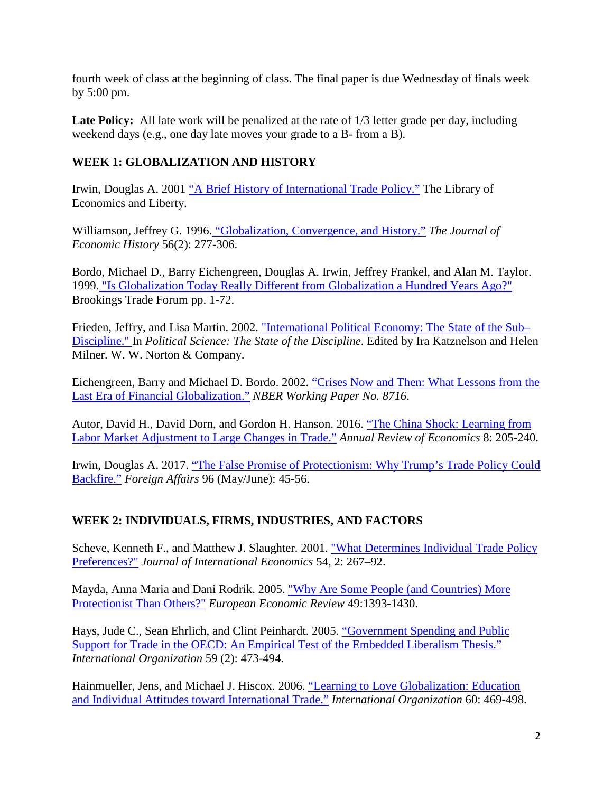fourth week of class at the beginning of class. The final paper is due Wednesday of finals week by 5:00 pm.

Late Policy: All late work will be penalized at the rate of  $1/3$  letter grade per day, including weekend days (e.g., one day late moves your grade to a B- from a B).

# **WEEK 1: GLOBALIZATION AND HISTORY**

Irwin, Douglas A. 2001 ["A Brief History of International Trade Policy."](https://www.econlib.org/library/Columns/Irwintrade.html) The Library of Economics and Liberty.

Williamson, Jeffrey G. 1996. ["Globalization, Convergence, and History."](https://doi.org/10.1017/S0022050700016454) *The Journal of Economic History* 56(2): 277-306.

Bordo, Michael D., Barry Eichengreen, Douglas A. Irwin, Jeffrey Frankel, and Alan M. Taylor. 1999. ["Is Globalization Today Really Different from Globalization a Hundred Years Ago?"](http://www.jstor.org/stable/25063137) Brookings Trade Forum pp. 1-72.

Frieden, Jeffry, and Lisa Martin. 2002. "International Political Economy: The State of the Sub-[Discipline." I](http://www.tinyurl.com/y586u44x)n *Political Science: The State of the Discipline*. Edited by Ira Katznelson and Helen Milner. W. W. Norton & Company.

Eichengreen, Barry and Michael D. Bordo. 2002. ["Crises Now and Then: What Lessons from the](https://www.nber.org/papers/w8716)  [Last Era of Financial Globalization."](https://www.nber.org/papers/w8716) *NBER Working Paper No. 8716*.

Autor, David H., David Dorn, and Gordon H. Hanson. 2016. ["The China Shock: Learning from](https://doi.org/10.1146/annurev-economics-080315-015041)  [Labor Market Adjustment to Large Changes in Trade."](https://doi.org/10.1146/annurev-economics-080315-015041) *Annual Review of Economics* 8: 205-240.

Irwin, Douglas A. 2017. ["The False Promise of Protectionism: Why Trump's Trade Policy Could](https://cpb-us-e1.wpmucdn.com/sites.dartmouth.edu/dist/c/1993/files/2019/01/Irwin_Foreign-Affairs-2017-s8ex7c.pdf)  [Backfire."](https://cpb-us-e1.wpmucdn.com/sites.dartmouth.edu/dist/c/1993/files/2019/01/Irwin_Foreign-Affairs-2017-s8ex7c.pdf) *Foreign Affairs* 96 (May/June): 45-56.

# **WEEK 2: INDIVIDUALS, FIRMS, INDUSTRIES, AND FACTORS**

Scheve, Kenneth F., and Matthew J. Slaughter. 2001. "What Determines Individual Trade Policy [Preferences?"](https://www.sciencedirect.com/science/article/pii/S0022199600000945) *Journal of International Economics* 54, 2: 267–92.

Mayda, Anna Maria and Dani Rodrik. 2005. ["Why Are Some People \(and Countries\) More](https://doi.org/10.1016/j.euroecorev.2004.01.002)  [Protectionist Than Others?"](https://doi.org/10.1016/j.euroecorev.2004.01.002) *European Economic Review* 49:1393-1430.

Hays, Jude C., Sean Ehrlich, and Clint Peinhardt. 2005. ["Government Spending and Public](https://www.jstor.org/stable/3877913)  [Support for Trade in the OECD: An Empirical Test of the Embedded Liberalism Thesis."](https://www.jstor.org/stable/3877913) *International Organization* 59 (2): 473-494.

Hainmueller, Jens, and Michael J. Hiscox. 2006. ["Learning to Love Globalization: Education](https://doi.org/10.1017/S0020818306060140)  [and Individual Attitudes toward International Trade."](https://doi.org/10.1017/S0020818306060140) *International Organization* 60: 469-498.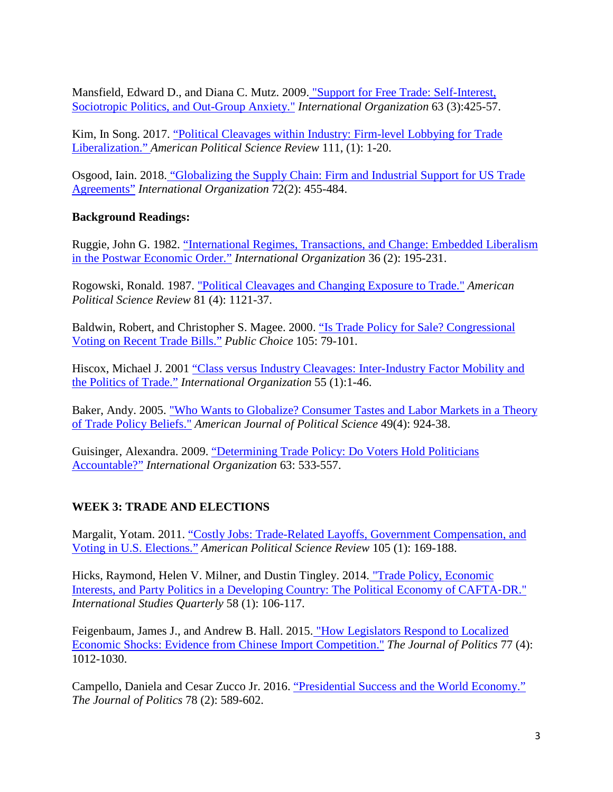Mansfield, Edward D., and Diana C. Mutz. 2009. ["Support for Free Trade: Self-Interest,](http://www.jstor.org/stable/40345943)  [Sociotropic Politics, and Out-Group Anxiety."](http://www.jstor.org/stable/40345943) *International Organization* 63 (3):425-57.

Kim, In Song. 2017. ["Political Cleavages within Industry: Firm-level Lobbying for Trade](https://doi.org/10.1017/S0003055416000654)  [Liberalization."](https://doi.org/10.1017/S0003055416000654) *American Political Science Review* 111, (1): 1-20.

Osgood, Iain. 2018. ["Globalizing the Supply Chain: Firm and Industrial Support for US Trade](https://doi.org/10.1017/S002081831800005X)  [Agreements"](https://doi.org/10.1017/S002081831800005X) *International Organization* 72(2): 455-484.

# **Background Readings:**

Ruggie, John G. 1982. ["International Regimes, Transactions, and Change: Embedded Liberalism](https://doi.org/10.1017/S0020818300018993)  [in the Postwar Economic Order."](https://doi.org/10.1017/S0020818300018993) *International Organization* 36 (2): 195-231.

Rogowski, Ronald. 1987. ["Political Cleavages and Changing Exposure to Trade."](https://www.jstor.org/stable/1962581) *American Political Science Review* 81 (4): 1121-37.

Baldwin, Robert, and Christopher S. Magee. 2000. ["Is Trade Policy for Sale? Congressional](https://link.springer.com/article/10.1023/A:1005121716315)  [Voting on Recent Trade Bills."](https://link.springer.com/article/10.1023/A:1005121716315) *Public Choice* 105: 79-101.

Hiscox, Michael J. 2001 ["Class versus Industry Cleavages: Inter-Industry Factor Mobility and](https://doi.org/10.1162/002081801551405)  [the Politics of Trade."](https://doi.org/10.1162/002081801551405) *International Organization* 55 (1):1-46.

Baker, Andy. 2005. ["Who Wants to Globalize? Consumer Tastes and Labor Markets in a Theory](http://www.jstor.org/stable/3647706)  [of Trade Policy Beliefs."](http://www.jstor.org/stable/3647706) *American Journal of Political Science* 49(4): 924-38.

Guisinger, Alexandra. 2009. ["Determining Trade Policy: Do Voters Hold Politicians](https://www.jstor.org/stable/40345946)  [Accountable?"](https://www.jstor.org/stable/40345946) *International Organization* 63: 533-557.

# **WEEK 3: TRADE AND ELECTIONS**

Margalit, Yotam. 2011. ["Costly Jobs: Trade-Related Layoffs, Government Compensation, and](https://www.jstor.org/stable/41480833)  [Voting in U.S. Elections."](https://www.jstor.org/stable/41480833) *American Political Science Review* 105 (1): 169-188.

Hicks, Raymond, Helen V. Milner, and Dustin Tingley. 2014. ["Trade Policy, Economic](http://dx.doi.org/10.1111/isqu.12057)  [Interests, and Party Politics in a Developing Country: The Political Economy of](http://dx.doi.org/10.1111/isqu.12057) CAFTA‐DR." *International Studies Quarterly* 58 (1): 106-117.

Feigenbaum, James J., and Andrew B. Hall. 2015. ["How Legislators Respond to Localized](http://www.journals.uchicago.edu/doi/abs/10.1086/682151)  [Economic Shocks: Evidence from Chinese Import Competition."](http://www.journals.uchicago.edu/doi/abs/10.1086/682151) *The Journal of Politics* 77 (4): 1012-1030.

Campello, Daniela and Cesar Zucco Jr. 2016. ["Presidential Success and the World Economy."](http://www.journals.uchicago.edu/doi/abs/10.1086/684749) *The Journal of Politics* 78 (2): 589-602.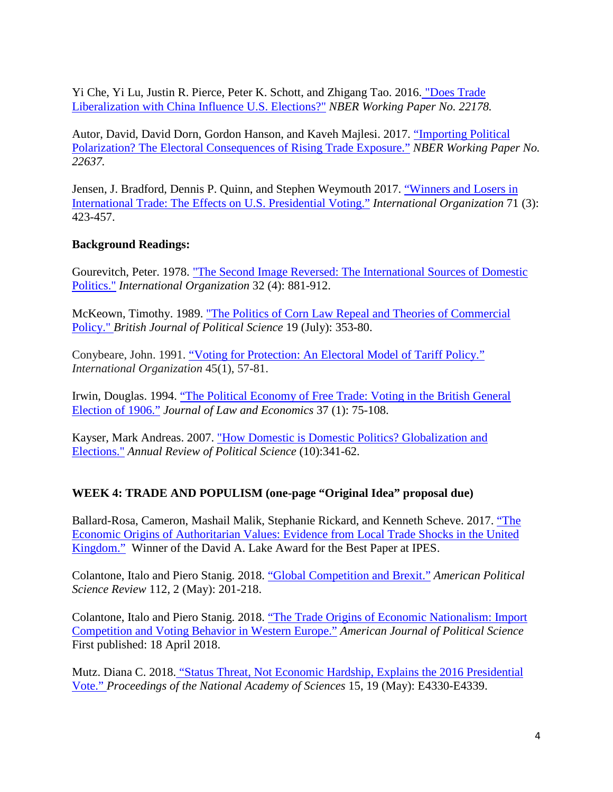Yi Che, Yi Lu, Justin R. Pierce, Peter K. Schott, and Zhigang Tao. 2016. ["Does Trade](http://www.nber.org/papers/w22178)  [Liberalization with China Influence U.S. Elections?"](http://www.nber.org/papers/w22178) *NBER Working Paper No. 22178.*

Autor, David, David Dorn, Gordon Hanson, and Kaveh Majlesi. 2017. ["Importing Political](https://www.nber.org/papers/w22637)  [Polarization? The Electoral Consequences of Rising Trade Exposure."](https://www.nber.org/papers/w22637) *NBER Working Paper No. 22637.*

Jensen, J. Bradford, Dennis P. Quinn, and Stephen Weymouth 2017. ["Winners and Losers in](https://doi.org/10.1017/S0020818317000194)  [International Trade: The Effects on U.S. Presidential Voting."](https://doi.org/10.1017/S0020818317000194) *International Organization* 71 (3): 423-457.

#### **Background Readings:**

Gourevitch, Peter. 1978. ["The Second Image Reversed: The International Sources of Domestic](http://www.jstor.org/stable/2706180)  [Politics."](http://www.jstor.org/stable/2706180) *International Organization* 32 (4): 881-912.

McKeown, Timothy. 1989. ["The Politics of Corn Law Repeal and Theories of Commercial](https://www.jstor.org/stable/193846)  [Policy."](https://www.jstor.org/stable/193846) *British Journal of Political Science* 19 (July): 353-80.

Conybeare, John. 1991. ["Voting for Protection: An Electoral Model of Tariff Policy."](https://doi.org/10.1017/S0020818300001399) *International Organization* 45(1), 57-81.

Irwin, Douglas. 1994. ["The Political Economy of Free Trade: Voting in the British General](https://www.jstor.org/stable/725605)  [Election of 1906."](https://www.jstor.org/stable/725605) *Journal of Law and Economics* 37 (1): 75-108.

Kayser, Mark Andreas. 2007. ["How Domestic is Domestic Politics? Globalization and](http://arjournals.annualreviews.org/doi/pdf/10.1146/annurev.polisci.10.080605.135728)  [Elections."](http://arjournals.annualreviews.org/doi/pdf/10.1146/annurev.polisci.10.080605.135728) *Annual Review of Political Science* (10):341-62.

## **WEEK 4: TRADE AND POPULISM (one-page "Original Idea" proposal due)**

Ballard-Rosa, Cameron, Mashail Malik, Stephanie Rickard, and Kenneth Scheve. 2017. ["The](https://tritoned.ucsd.edu/bbcswebdav/xid-17578168_1)  [Economic Origins of Authoritarian Values: Evidence from Local Trade Shocks in the United](https://tritoned.ucsd.edu/bbcswebdav/xid-17578168_1)  [Kingdom."](https://tritoned.ucsd.edu/bbcswebdav/xid-17578168_1) Winner of the David A. Lake Award for the Best Paper at IPES.

Colantone, Italo and Piero Stanig. 2018. ["Global Competition and Brexit."](https://doi.org/10.1017/S0003055417000685) *American Political Science Review* 112, 2 (May): 201-218.

Colantone, Italo and Piero Stanig. 2018. ["The Trade Origins of Economic Nationalism: Import](https://doi.org/10.1111/ajps.12358)  [Competition and Voting Behavior in Western Europe."](https://doi.org/10.1111/ajps.12358) *American Journal of Political Science* First published: 18 April 2018.

Mutz. Diana C. 2018. ["Status Threat, Not Economic Hardship, Explains the 2016 Presidential](https://doi.org/10.1073/pnas.1718155115)  [Vote."](https://doi.org/10.1073/pnas.1718155115) *Proceedings of the National Academy of Sciences* 15, 19 (May): E4330-E4339.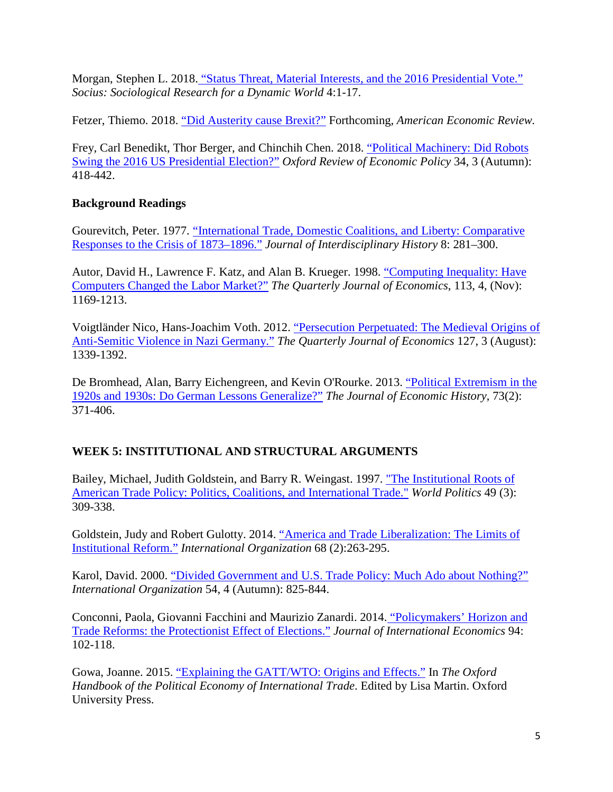Morgan, Stephen L. 2018. ["Status Threat, Material Interests, and the 2016 Presidential Vote."](http://journals.sagepub.com/doi/pdf/10.1177/2378023118788217)  *Socius: Sociological Research for a Dynamic World* 4:1-17.

Fetzer, Thiemo. 2018. ["Did Austerity cause Brexit?"](https://ssrn.com/abstract=3251187) Forthcoming, *American Economic Review.*

Frey, Carl Benedikt, Thor Berger, and Chinchih Chen. 2018. ["Political Machinery: Did Robots](https://doi.org/10.1093/oxrep/gry007)  [Swing the 2016 US Presidential Election?"](https://doi.org/10.1093/oxrep/gry007) *Oxford Review of Economic Policy* 34, 3 (Autumn): 418-442.

# **Background Readings**

Gourevitch, Peter. 1977. ["International Trade, Domestic Coalitions, and Liberty: Comparative](https://www.jstor.org/stable/202790) [Responses to the Crisis of 1873–1896."](https://www.jstor.org/stable/202790) *Journal of Interdisciplinary History* 8: 281–300.

Autor, David H., Lawrence F. Katz, and Alan B. Krueger. 1998. ["Computing Inequality: Have](https://doi.org/10.1162/003355398555874)  [Computers Changed the Labor Market?"](https://doi.org/10.1162/003355398555874) *The Quarterly Journal of Economics*, 113, 4, (Nov): 1169-1213.

Voigtländer Nico, Hans-Joachim Voth. 2012. ["Persecution Perpetuated: The Medieval Origins of](https://doi.org/10.1093/qje/qjs019)  [Anti-Semitic Violence in Nazi Germany."](https://doi.org/10.1093/qje/qjs019) *The Quarterly Journal of Economics* 127, 3 (August): 1339-1392.

De Bromhead, Alan, Barry Eichengreen, and Kevin O'Rourke. 2013. ["Political Extremism in the](https://doi.org/10.1017/S0022050713000302)  [1920s and 1930s: Do German Lessons Generalize?"](https://doi.org/10.1017/S0022050713000302) *The Journal of Economic History*, 73(2): 371-406.

# **WEEK 5: INSTITUTIONAL AND STRUCTURAL ARGUMENTS**

Bailey, Michael, Judith Goldstein, and Barry R. Weingast. 1997. ["The Institutional Roots of](http://www.jstor.org/stable/25054005)  [American Trade Policy: Politics, Coalitions, and International Trade."](http://www.jstor.org/stable/25054005) *World Politics* 49 (3): 309-338.

Goldstein, Judy and Robert Gulotty. 2014. ["America and Trade Liberalization: The Limits of](https://doi.org/10.1017/S0020818313000490)  [Institutional Reform."](https://doi.org/10.1017/S0020818313000490) *International Organization* 68 (2):263-295.

Karol, David. 2000. ["Divided Government and U.S. Trade Policy: Much Ado about Nothing?"](http://www.jstor.org/stable/2601383) *International Organization* 54, 4 (Autumn): 825-844.

Conconni, Paola, Giovanni Facchini and Maurizio Zanardi. 2014. ["Policymakers' Horizon and](http://www.sciencedirect.com/science/article/pii/S0022199614000890)  [Trade Reforms: the Protectionist Effect of Elections."](http://www.sciencedirect.com/science/article/pii/S0022199614000890) *Journal of International Economics* 94: 102-118.

Gowa, Joanne. 2015. ["Explaining the GATT/WTO: Origins and Effects."](https://www.oxfordhandbooks.com/view/10.1093/oxfordhb/9780199981755.001.0001/oxfordhb-9780199981755-e-1) In *The Oxford Handbook of the Political Economy of International Trade*. Edited by Lisa Martin. Oxford University Press.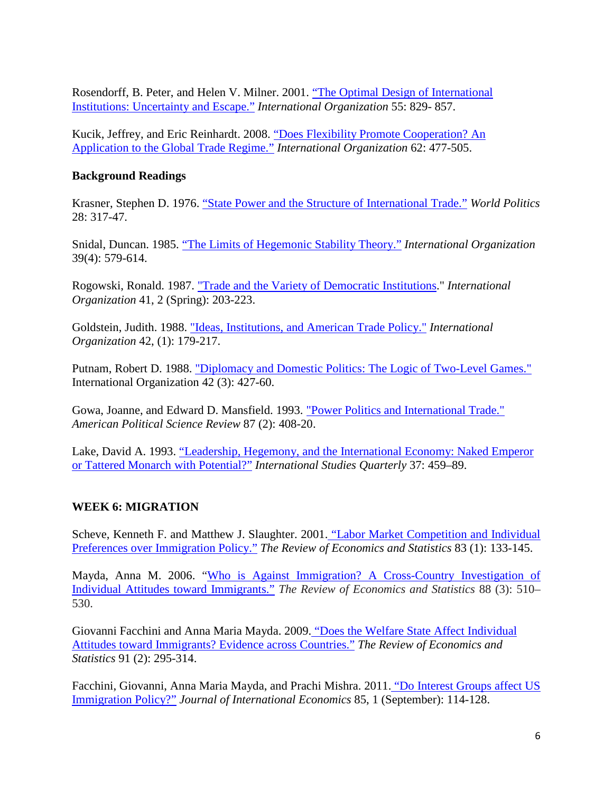Rosendorff, B. Peter, and Helen V. Milner. 2001. ["The Optimal Design of International](http://www.jstor.org/stable/3078617)  [Institutions: Uncertainty and Escape."](http://www.jstor.org/stable/3078617) *International Organization* 55: 829- 857.

Kucik, Jeffrey, and Eric Reinhardt. 2008. ["Does Flexibility Promote Cooperation? An](http://www.jstor.org/stable/40071901) [Application to the Global](http://www.jstor.org/stable/40071901) Trade Regime." *International Organization* 62: 477-505.

#### **Background Readings**

Krasner, Stephen D. 1976. ["State Power and the Structure of International Trade."](https://www.jstor.org/stable/2009974) *World Politics* 28: 317-47.

Snidal, Duncan. 1985. ["The Limits of Hegemonic Stability Theory."](https://doi.org/10.1017/S002081830002703X) *International Organization*  39(4): 579-614.

Rogowski, Ronald. 1987. ["Trade and the Variety of Democratic Institutions.](http://www.jstor.org/stable/2706660)" *International Organization* 41, 2 (Spring): 203-223.

Goldstein, Judith. 1988. ["Ideas, Institutions, and American Trade Policy."](http://www.jstor.org/stable/2706774) *International Organization* 42, (1): 179-217.

Putnam, Robert D. 1988. ["Diplomacy and Domestic Politics: The Logic of Two-Level Games."](http://www.jstor.org/stable/2706785)  International Organization 42 (3): 427-60.

Gowa, Joanne, and Edward D. Mansfield. 1993. ["Power Politics and International Trade."](https://www.jstor.org/stable/2939050)  *American Political Science Review* 87 (2): 408-20.

Lake, David A. 1993. ["Leadership, Hegemony, and the International Economy: Naked Emperor](https://www.jstor.org/stable/2600841)  [or Tattered Monarch with Potential?"](https://www.jstor.org/stable/2600841) *International Studies Quarterly* 37: 459–89.

## **WEEK 6: MIGRATION**

Scheve, Kenneth F. and Matthew J. Slaughter. 2001. ["Labor Market Competition and Individual](https://doi.org/10.1162/003465301750160108)  [Preferences over Immigration Policy."](https://doi.org/10.1162/003465301750160108) *The Review of Economics and Statistics* 83 (1): 133-145.

Mayda, Anna M. 2006. ["Who is Against Immigration? A Cross-Country Investigation of](https://www.jstor.org/stable/40043013)  [Individual Attitudes toward Immigrants."](https://www.jstor.org/stable/40043013) *The Review of Economics and Statistics* 88 (3): 510– 530.

Giovanni Facchini and Anna Maria Mayda. 2009. ["Does the Welfare State Affect Individual](https://www.jstor.org/stable/25651339)  [Attitudes toward Immigrants? Evidence across Countries."](https://www.jstor.org/stable/25651339) *The Review of Economics and Statistics* 91 (2): 295-314.

Facchini, Giovanni, Anna Maria Mayda, and Prachi Mishra. 2011. ["Do Interest Groups affect US](https://doi.org/10.1016/j.jinteco.2011.05.006)  [Immigration Policy?"](https://doi.org/10.1016/j.jinteco.2011.05.006) *Journal of International Economics* 85, 1 (September): 114-128.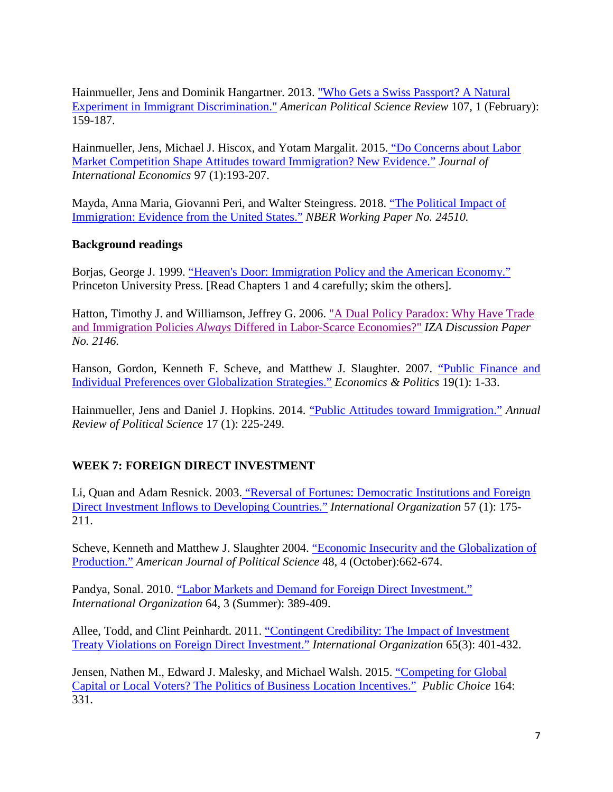Hainmueller, Jens and Dominik Hangartner. 2013. ["Who Gets a Swiss Passport? A Natural](https://doi.org/10.1017/S0003055412000494)  [Experiment in Immigrant Discrimination."](https://doi.org/10.1017/S0003055412000494) *American Political Science Review* 107, 1 (February): 159-187.

Hainmueller, Jens, Michael J. Hiscox, and Yotam Margalit. 2015. ["Do Concerns about Labor](https://doi.org/10.1016/j.jinteco.2014.12.010)  [Market Competition Shape Attitudes toward Immigration? New Evidence."](https://doi.org/10.1016/j.jinteco.2014.12.010) *Journal of International Economics* 97 (1):193-207.

Mayda, Anna Maria, Giovanni Peri, and Walter Steingress. 2018. ["The Political Impact of](https://www.nber.org/papers/w24510)  [Immigration: Evidence from the United States."](https://www.nber.org/papers/w24510) *NBER Working Paper No. 24510.*

## **Background readings**

Borjas, George J. 1999. ["Heaven's Door: Immigration Policy and the American Economy."](https://www.jstor.org/stable/j.ctt7rn2f) Princeton University Press. [Read Chapters 1 and 4 carefully; skim the others].

Hatton, Timothy J. and Williamson, Jeffrey G. 2006. ["A Dual Policy Paradox: Why Have Trade](http://ftp.iza.org/dp2146.pdf)  and Immigration Policies *Always* [Differed in Labor-Scarce Economies?"](http://ftp.iza.org/dp2146.pdf) *IZA Discussion Paper No. 2146.*

Hanson, Gordon, Kenneth F. Scheve, and Matthew J. Slaughter. 2007. ["Public Finance and](https://doi.org/10.1111/j.1468-0343.2007.00300.x)  [Individual Preferences over Globalization Strategies."](https://doi.org/10.1111/j.1468-0343.2007.00300.x) *Economics & Politics* 19(1): 1-33.

Hainmueller, Jens and Daniel J. Hopkins. 2014. ["Public Attitudes toward Immigration."](https://doi.org/10.1146/annurev-polisci-102512-194818) *Annual Review of Political Science* 17 (1): 225-249.

## **WEEK 7: FOREIGN DIRECT INVESTMENT**

Li, Quan and Adam Resnick. 2003. ["Reversal of Fortunes: Democratic Institutions and Foreign](https://doi.org/10.1017/S0020818303571077)  [Direct Investment Inflows to Developing Countries."](https://doi.org/10.1017/S0020818303571077) *International Organization* 57 (1): 175- 211.

Scheve, Kenneth and Matthew J. Slaughter 2004. ["Economic Insecurity and the Globalization of](http://www.jstor.org/stable/1519926)  [Production."](http://www.jstor.org/stable/1519926) *American Journal of Political Science* 48, 4 (October):662-674.

Pandya, Sonal. 2010. ["Labor Markets and Demand for Foreign Direct Investment."](http://dx.doi.org/10.1017/S0020818310000160)  *International Organization* 64, 3 (Summer): 389-409.

Allee, Todd, and Clint Peinhardt. 2011. ["Contingent Credibility: The](http://www.jstor.org/stable/23016160) Impact of Investment [Treaty Violations on Foreign Direct Investment."](http://www.jstor.org/stable/23016160) *International Organization* 65(3): 401-432.

Jensen, Nathen M., Edward J. Malesky, and Michael Walsh. 2015. ["Competing for Global](https://doi.org/10.1007/s11127-015-0281-8)  [Capital or Local Voters? The Politics of Business Location Incentives."](https://doi.org/10.1007/s11127-015-0281-8) *Public Choice* 164: 331.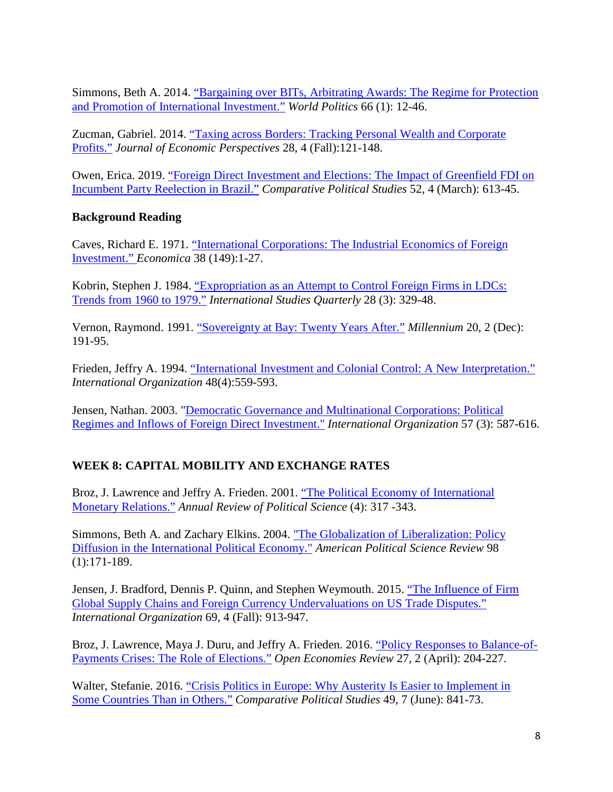Simmons, Beth A. 2014. ["Bargaining over BITs, Arbitrating Awards: The Regime for Protection](http://dx.doi.org/10.1017/S0043887113000312)  and [Promotion of International Investment."](http://dx.doi.org/10.1017/S0043887113000312) *World Politics* 66 (1): 12-46.

Zucman, Gabriel. 2014. ["Taxing across Borders: Tracking Personal Wealth and Corporate](https://www.aeaweb.org/articles?id=10.1257/jep.28.4.121)  [Profits."](https://www.aeaweb.org/articles?id=10.1257/jep.28.4.121) *Journal of Economic Perspectives* 28, 4 (Fall):121-148.

Owen, Erica. 2019. ["Foreign Direct Investment and Elections: The Impact of Greenfield FDI on](https://doi.org/10.1177%2F0010414018797936)  [Incumbent Party Reelection in Brazil."](https://doi.org/10.1177%2F0010414018797936) *Comparative Political Studies* 52, 4 (March): 613-45.

# **Background Reading**

Caves, Richard E. 1971. ["International Corporations: The Industrial Economics of Foreign](https://www.jstor.org/stable/2551748)  [Investment."](https://www.jstor.org/stable/2551748) *Economica* 38 (149):1-27.

Kobrin, Stephen J. 1984. ["Expropriation as an Attempt to Control Foreign Firms in LDCs:](https://doi.org/10.2307/2600634)  [Trends from 1960 to 1979."](https://doi.org/10.2307/2600634) *International Studies Quarterly* 28 (3): 329-48.

Vernon, Raymond. 1991. ["Sovereignty at Bay: Twenty Years After."](https://doi.org/10.1177%2F03058298910200021201) *Millennium* 20, 2 (Dec): 191-95.

Frieden, Jeffry A. 1994. ["International Investment and Colonial Control: A New Interpretation."](http://www.jstor.org/stable/2706896) *International Organization* 48(4):559-593.

Jensen, Nathan. 2003. ["Democratic Governance and Multinational Corporations: Political](https://www.jstor.org/stable/3594838)  [Regimes and Inflows of Foreign Direct Investment."](https://www.jstor.org/stable/3594838) *International Organization* 57 (3): 587-616.

# **WEEK 8: CAPITAL MOBILITY AND EXCHANGE RATES**

Broz, J. Lawrence and Jeffry A. Frieden. 2001. ["The Political Economy of International](http://www.annualreviews.org/doi/abs/10.1146/annurev.polisci.4.1.317)  [Monetary Relations."](http://www.annualreviews.org/doi/abs/10.1146/annurev.polisci.4.1.317) *Annual Review of Political Science* (4): 317 -343.

Simmons, Beth A. and Zachary Elkins. 2004. ["The Globalization of Liberalization: Policy](http://www.jstor.org/stable/4145304)  [Diffusion in the International Political Economy."](http://www.jstor.org/stable/4145304) *American Political Science Review* 98 (1):171-189.

Jensen, J. Bradford, Dennis P. Quinn, and Stephen Weymouth. 2015. ["The Influence of Firm](https://doi.org/10.1017/S0020818315000247)  [Global Supply Chains and Foreign Currency Undervaluations on US Trade Disputes."](https://doi.org/10.1017/S0020818315000247) *International Organization* 69, 4 (Fall): 913-947.

Broz, J. Lawrence, Maya J. Duru, and Jeffry A. Frieden. 2016. ["Policy Responses to Balance-of-](https://tritoned.ucsd.edu/bbcswebdav/xid-12545049_1)[Payments Crises: The Role of Elections."](https://tritoned.ucsd.edu/bbcswebdav/xid-12545049_1) *Open Economies Review* 27, 2 (April): 204-227.

Walter, Stefanie. 2016. ["Crisis Politics in Europe: Why Austerity Is Easier to Implement in](https://doi.org/10.1177%2F0010414015617967)  [Some Countries Than in Others."](https://doi.org/10.1177%2F0010414015617967) *Comparative Political Studies* 49, 7 (June): 841-73.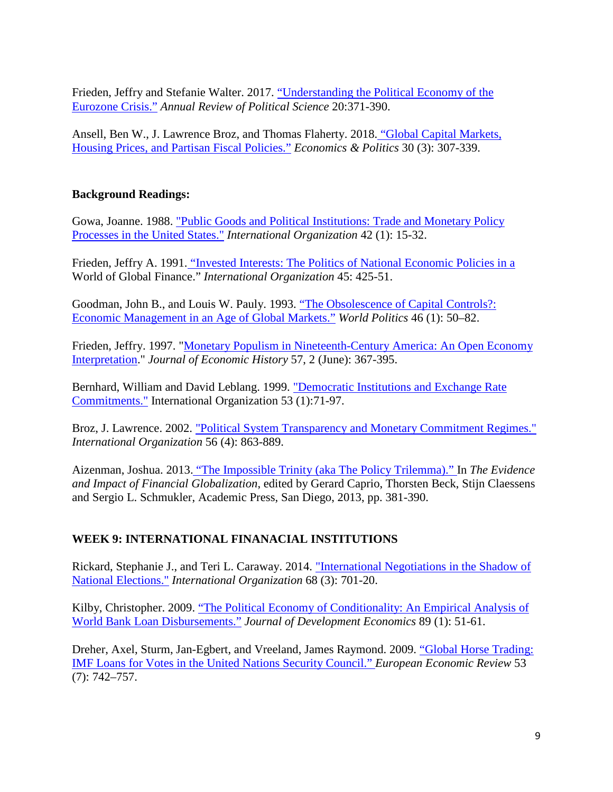Frieden, Jeffry and Stefanie Walter. 2017. ["Understanding the Political Economy of the](https://doi.org/10.1146/annurev-polisci-051215-023101)  [Eurozone Crisis."](https://doi.org/10.1146/annurev-polisci-051215-023101) *Annual Review of Political Science* 20:371-390.

Ansell, Ben W., J. Lawrence Broz, and Thomas Flaherty. 2018. ["Global Capital Markets,](https://doi.org/10.1111/ecpo.12111)  [Housing Prices, and Partisan Fiscal Policies."](https://doi.org/10.1111/ecpo.12111) *Economics & Politics* 30 (3): 307-339.

#### **Background Readings:**

Gowa, Joanne. 1988. ["Public Goods and Political Institutions: Trade and Monetary Policy](https://www.jstor.org/stable/2706768)  [Processes in the United States."](https://www.jstor.org/stable/2706768) *International Organization* 42 (1): 15-32.

Frieden, Jeffry A. 1991. ["Invested Interests: The Politics of National Economic Policies in a](https://www.jstor.org/stable/2706944)  World of Global Finance." *International Organization* 45: 425-51.

Goodman, John B., and Louis W. Pauly. 1993. ["The Obsolescence of Capital Controls?:](https://doi.org/10.2307/2950666)  [Economic Management in an Age of Global Markets."](https://doi.org/10.2307/2950666) *World Politics* 46 (1): 50–82.

Frieden, Jeffry. 1997. ["Monetary Populism in Nineteenth-Century America: An Open Economy](http://www.jstor.org/stable/2951042)  [Interpretation.](http://www.jstor.org/stable/2951042)" *Journal of Economic History* 57, 2 (June): 367-395.

Bernhard, William and David Leblang. 1999. ["Democratic Institutions and Exchange Rate](https://www.jstor.org/stable/2601372)  [Commitments."](https://www.jstor.org/stable/2601372) International Organization 53 (1):71-97.

Broz, J. Lawrence. 2002. ["Political System Transparency and Monetary Commitment Regimes."](https://www.jstor.org/stable/3078651) *International Organization* 56 (4): 863-889.

Aizenman, Joshua. 2013. ["The Impossible Trinity \(aka The Policy Trilemma\)." I](https://tritoned.ucsd.edu/bbcswebdav/xid-18230897_1)n *The Evidence and Impact of Financial Globalization*, edited by Gerard Caprio, Thorsten Beck, Stijn Claessens and Sergio L. Schmukler, Academic Press, San Diego, 2013, pp. 381-390.

## **WEEK 9: INTERNATIONAL FINANACIAL INSTITUTIONS**

Rickard, Stephanie J., and Teri L. Caraway. 2014. ["International Negotiations in the Shadow of](http://www.jstor.org/stable/43282123)  [National Elections."](http://www.jstor.org/stable/43282123) *International Organization* 68 (3): 701-20.

Kilby, Christopher. 2009. ["The Political Economy of Conditionality: An Empirical Analysis of](https://doi.org/10.1016/j.jdeveco.2008.06.014)  [World Bank Loan Disbursements."](https://doi.org/10.1016/j.jdeveco.2008.06.014) *Journal of Development Economics* 89 (1): 51-61.

Dreher, Axel, Sturm, Jan-Egbert, and Vreeland, James Raymond. 2009. ["Global Horse Trading:](https://doi.org/10.1016/j.euroecorev.2009.03.002)  [IMF Loans for Votes in the United Nations Security Council."](https://doi.org/10.1016/j.euroecorev.2009.03.002) *European Economic Review* 53 (7): 742–757.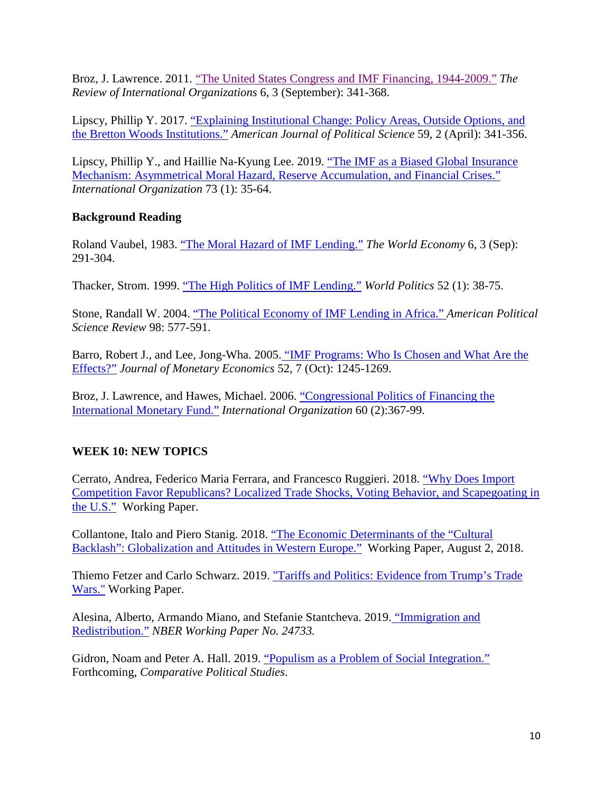Broz, J. Lawrence. 2011. ["The United States Congress and IMF Financing, 1944-2009."](https://link.springer.com/article/10.1007/s11558-011-9108-7) *The Review of International Organizations* 6, 3 (September): 341-368.

Lipscy, Phillip Y. 2017. ["Explaining Institutional Change: Policy Areas, Outside Options, and](https://doi.org/10.1111/ajps.12130)  [the Bretton Woods Institutions."](https://doi.org/10.1111/ajps.12130) *American Journal of Political Science* 59, 2 (April): 341-356.

Lipscy, Phillip Y., and Haillie Na-Kyung Lee. 2019. ["The IMF as a Biased Global Insurance](https://doi.org/10.1017/S0020818318000371)  [Mechanism: Asymmetrical Moral Hazard, Reserve Accumulation, and Financial Crises."](https://doi.org/10.1017/S0020818318000371) *International Organization* 73 (1): 35-64.

## **Background Reading**

Roland Vaubel, 1983. ["The Moral Hazard of IMF Lending."](https://doi.org/10.1111/j.1467-9701.1983.tb00015.x) *The World Economy* 6, 3 (Sep): 291-304.

Thacker, Strom. 1999. ["The High Politics of IMF Lending."](https://doi.org/10.1017/S0043887100020025) *World Politics* 52 (1): 38-75.

Stone, Randall W. 2004. ["The Political Economy of IMF Lending in Africa."](https://doi.org/10.1017/S000305540404136X) *American Political Science Review* 98: 577-591.

Barro, Robert J., and Lee, Jong-Wha. 2005. ["IMF Programs: Who Is Chosen and What Are the](https://doi.org/10.1016/j.jmoneco.2005.04.003)  [Effects?"](https://doi.org/10.1016/j.jmoneco.2005.04.003) *Journal of Monetary Economics* 52, 7 (Oct): 1245-1269.

Broz, J. Lawrence, and Hawes, Michael. 2006. ["Congressional Politics of Financing the](https://doi.org/10.1017/S0020818306060115)  [International Monetary Fund."](https://doi.org/10.1017/S0020818306060115) *International Organization* 60 (2):367-99.

## **WEEK 10: NEW TOPICS**

Cerrato, Andrea, Federico Maria Ferrara, and Francesco Ruggieri. 2018. ["Why Does Import](https://ssrn.com/abstract=3147169)  [Competition Favor Republicans? Localized Trade Shocks, Voting Behavior, and Scapegoating in](https://ssrn.com/abstract=3147169)  [the U.S."](https://ssrn.com/abstract=3147169) Working Paper.

Collantone, Italo and Piero Stanig. 2018. ["The Economic Determinants of the "Cultural](https://dx.doi.org/10.2139/ssrn.3267139)  [Backlash": Globalization and Attitudes in Western Europe."](https://dx.doi.org/10.2139/ssrn.3267139) Working Paper, August 2, 2018.

Thiemo Fetzer and Carlo Schwarz. 2019. ["Tariffs and Politics: Evidence from Trump's Trade](https://papers.ssrn.com/sol3/papers.cfm?abstract_id=3349000)  [Wars."](https://papers.ssrn.com/sol3/papers.cfm?abstract_id=3349000) Working Paper.

Alesina, Alberto, Armando Miano, and Stefanie Stantcheva. 2019. ["Immigration and](https://www.nber.org/papers/w24733)  [Redistribution."](https://www.nber.org/papers/w24733) *NBER Working Paper No. 24733.*

Gidron, Noam and Peter A. Hall. 2019. ["Populism as a Problem of Social](https://scholar.harvard.edu/hall/publications/populism-problem-social-integration) Integration." Forthcoming, *Comparative Political Studies*.